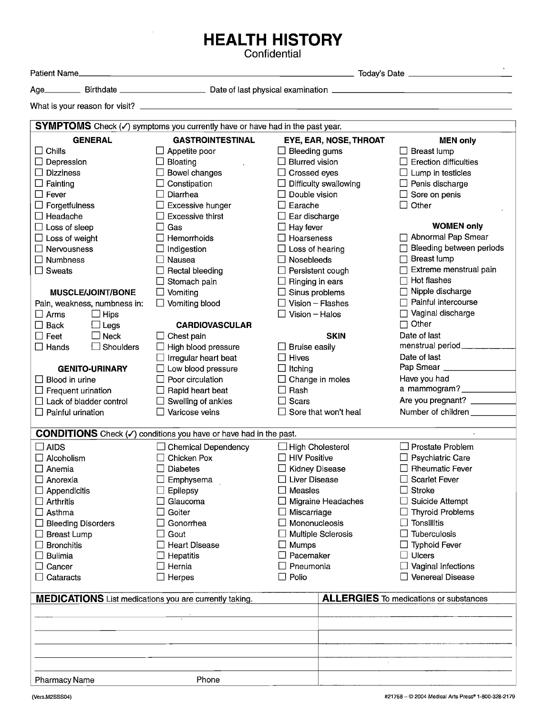## **HEALTH HISTORY**

à,

**Confidential** 

|                                                               | <b>SYMPTOMS</b> Check $(\checkmark)$ symptoms you currently have or have had in the past year. |                              |                                               |  |  |
|---------------------------------------------------------------|------------------------------------------------------------------------------------------------|------------------------------|-----------------------------------------------|--|--|
| <b>GENERAL</b>                                                | <b>GASTROINTESTINAL</b>                                                                        | EYE, EAR, NOSE, THROAT       | <b>MEN only</b>                               |  |  |
| $\Box$ Chills                                                 | $\Box$ Appetite poor                                                                           | $\Box$ Bleeding gums         | $\Box$ Breast lump                            |  |  |
| $\Box$ Depression                                             | $\Box$ Bloating                                                                                | $\Box$ Blurred vision        | $\Box$ Erection difficulties                  |  |  |
| $\Box$ Dizziness                                              | $\Box$ Bowel changes                                                                           | $\Box$ Crossed eyes          | $\Box$ Lump in testicles                      |  |  |
| $\Box$ Fainting                                               | $\Box$ Constipation                                                                            | $\Box$ Difficulty swallowing | $\Box$ Penis discharge                        |  |  |
| $\Box$ Fever                                                  | $\Box$ Diarrhea                                                                                | $\Box$ Double vision         | $\Box$ Sore on penis                          |  |  |
| $\Box$ Forgetfulness                                          | $\Box$ Excessive hunger                                                                        | $\Box$ Earache               | $\Box$ Other                                  |  |  |
| $\Box$ Headache                                               | $\Box$ Excessive thirst                                                                        | $\Box$ Ear discharge         |                                               |  |  |
| $\Box$ Loss of sleep                                          | $\Box$ Gas                                                                                     | $\Box$ Hay fever             | <b>WOMEN only</b>                             |  |  |
| $\Box$ Loss of weight                                         | $\Box$ Hemorrhoids                                                                             | $\Box$ Hoarseness            | Abnormal Pap Smear                            |  |  |
| $\Box$ Nervousness                                            | $\Box$ Indigestion                                                                             | $\Box$ Loss of hearing       | Bleeding between periods                      |  |  |
| $\Box$ Numbness                                               | $\Box$ Nausea                                                                                  | $\Box$ Nosebleeds            | <b>Breast lump</b>                            |  |  |
| $\Box$ Sweats                                                 | $\Box$ Rectal bleeding                                                                         | $\Box$ Persistent cough      | Extreme menstrual pain                        |  |  |
|                                                               | $\Box$ Stomach pain                                                                            | $\Box$ Ringing in ears       | Hot flashes                                   |  |  |
| MUSCLE/JOINT/BONE                                             | $\Box$ Vomiting                                                                                | $\Box$ Sinus problems        | $\Box$ Nipple discharge                       |  |  |
| Pain, weakness, numbness in:                                  | $\Box$ Vomiting blood                                                                          | $\Box$ Vision – Flashes      | Painful intercourse                           |  |  |
| $\Box$ Arms<br>$\Box$ Hips                                    |                                                                                                | $\Box$ Vision - Halos        | □ Vaginal discharge                           |  |  |
| $\Box$ Back<br>$\Box$ Legs                                    | <b>CARDIOVASCULAR</b>                                                                          |                              | $\Box$ Other                                  |  |  |
| $\square$ Neck<br>$\Box$ Feet                                 | $\Box$ Chest pain                                                                              | <b>SKIN</b>                  | Date of last                                  |  |  |
| $\Box$ Hands<br>$\Box$ Shoulders                              | $\Box$ High blood pressure                                                                     | $\Box$ Bruise easily         | menstrual period                              |  |  |
|                                                               | $\Box$ Irregular heart beat                                                                    | $\Box$ Hives                 | Date of last                                  |  |  |
|                                                               | $\Box$ Low blood pressure                                                                      |                              | Pap Smear _______                             |  |  |
| <b>GENITO-URINARY</b>                                         | $\Box$ Poor circulation                                                                        | $\Box$ Itching               | Have you had                                  |  |  |
| $\Box$ Blood in urine                                         |                                                                                                | $\Box$ Change in moles       | a mammogram?                                  |  |  |
| $\Box$ Frequent urination                                     | $\Box$ Rapid heart beat                                                                        | $\Box$ Rash                  | Are you pregnant? ________                    |  |  |
| $\Box$ Lack of bladder control                                | $\Box$ Swelling of ankles                                                                      | $\Box$ Scars                 |                                               |  |  |
| $\Box$ Painful urination                                      | $\Box$ Varicose veins                                                                          | $\Box$ Sore that won't heal  | Number of children ______                     |  |  |
|                                                               | CONDITIONS Check (V) conditions you have or have had in the past.                              |                              |                                               |  |  |
| $\square$ AIDS                                                | □ Chemical Dependency                                                                          | $\Box$ High Cholesterol      | $\Box$ Prostate Problem                       |  |  |
| $\Box$ Alcoholism                                             | $\Box$ Chicken Pox                                                                             | $\Box$ HIV Positive          | $\Box$ Psychiatric Care                       |  |  |
| Anemia                                                        | <b>Diabetes</b>                                                                                | <b>Kidney Disease</b>        | <b>Rheumatic Fever</b>                        |  |  |
| □ Anorexia                                                    | Emphysema                                                                                      | <b>Liver Disease</b>         | <b>Scarlet Fever</b>                          |  |  |
| $\Box$ Appendicitis                                           | Epilepsy                                                                                       | Measles                      | $\Box$ Stroke                                 |  |  |
| $\Box$ Arthritis                                              | Glaucoma                                                                                       | Migraine Headaches           | $\Box$ Suicide Attempt                        |  |  |
| $\square$ Asthma                                              | Goiter                                                                                         | Miscarriage                  | $\Box$ Thyroid Problems                       |  |  |
| $\Box$ Bleeding Disorders                                     | Gonorrhea                                                                                      | Mononucleosis                | <b>Tonsillitis</b>                            |  |  |
| $\Box$ Breast Lump                                            | Gout<br>$\mathbf{I}$                                                                           | Multiple Sclerosis           | Tuberculosis                                  |  |  |
| <b>Bronchitis</b>                                             | <b>Heart Disease</b>                                                                           | $\Box$ Mumps                 | <b>Typhoid Fever</b>                          |  |  |
| <b>Bulimia</b>                                                | $\Box$ Hepatitis                                                                               | $\Box$ Pacemaker             | $\square$ Ulcers                              |  |  |
| Cancer<br>$\Box$                                              | $\Box$ Hernia                                                                                  | Pneumonia                    | Vaginal Infections                            |  |  |
| $\Box$ Cataracts                                              | $\Box$ Herpes                                                                                  | $\Box$ Polio                 | □ Venereal Disease                            |  |  |
| <b>MEDICATIONS</b> List medications you are currently taking. |                                                                                                |                              | <b>ALLERGIES</b> To medications or substances |  |  |
|                                                               |                                                                                                |                              |                                               |  |  |
|                                                               |                                                                                                |                              |                                               |  |  |
|                                                               |                                                                                                |                              |                                               |  |  |
|                                                               |                                                                                                |                              |                                               |  |  |
|                                                               |                                                                                                |                              |                                               |  |  |
|                                                               |                                                                                                |                              |                                               |  |  |
| Pharmacy Name                                                 | Phone                                                                                          |                              |                                               |  |  |